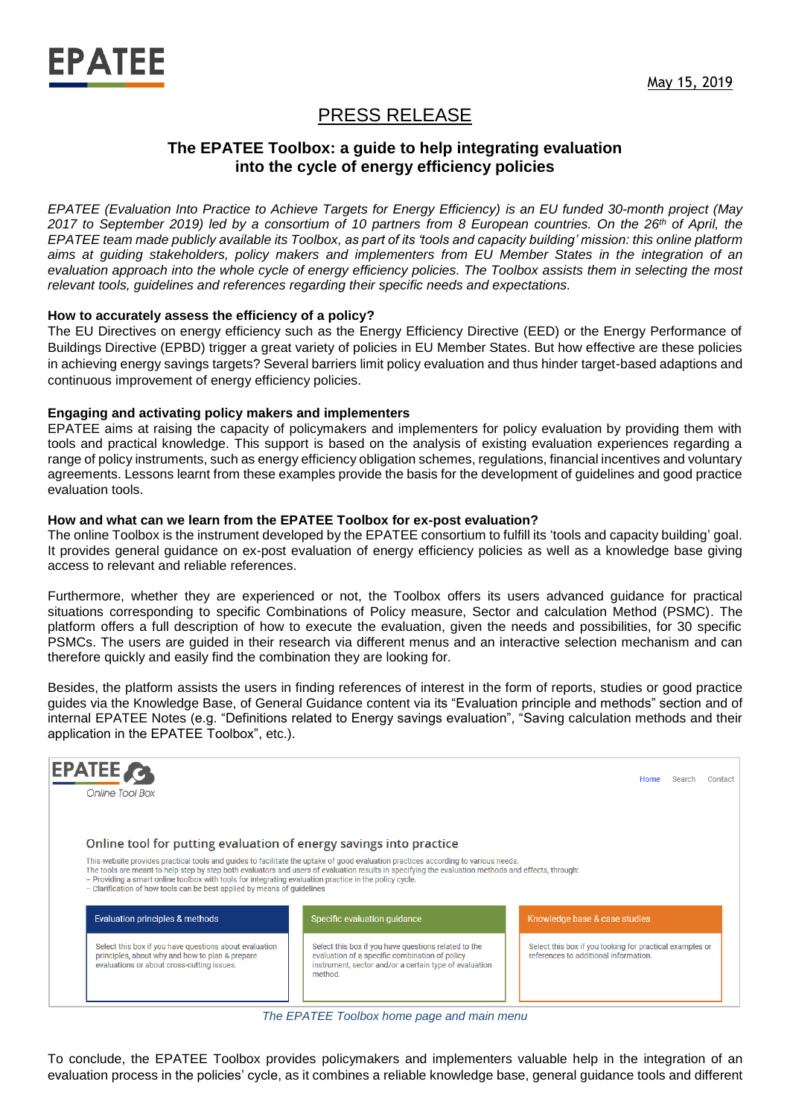

# PRESS RELEASE

## **The EPATEE Toolbox: a guide to help integrating evaluation into the cycle of energy efficiency policies**

*EPATEE (Evaluation Into Practice to Achieve Targets for Energy Efficiency) is an EU funded 30-month project (May 2017 to September 2019) led by a consortium of 10 partners from 8 European countries. On the 26th of April, the EPATEE team made publicly available its Toolbox, as part of its 'tools and capacity building' mission: this online platform aims at guiding stakeholders, policy makers and implementers from EU Member States in the integration of an evaluation approach into the whole cycle of energy efficiency policies. The Toolbox assists them in selecting the most relevant tools, guidelines and references regarding their specific needs and expectations.*

#### **How to accurately assess the efficiency of a policy?**

The EU Directives on energy efficiency such as the Energy Efficiency Directive (EED) or the Energy Performance of Buildings Directive (EPBD) trigger a great variety of policies in EU Member States. But how effective are these policies in achieving energy savings targets? Several barriers limit policy evaluation and thus hinder target-based adaptions and continuous improvement of energy efficiency policies.

#### **Engaging and activating policy makers and implementers**

EPATEE aims at raising the capacity of policymakers and implementers for policy evaluation by providing them with tools and practical knowledge. This support is based on the analysis of existing evaluation experiences regarding a range of policy instruments, such as energy efficiency obligation schemes, regulations, financial incentives and voluntary agreements. Lessons learnt from these examples provide the basis for the development of guidelines and good practice evaluation tools.

#### **How and what can we learn from the EPATEE Toolbox for ex-post evaluation?**

The online Toolbox is the instrument developed by the EPATEE consortium to fulfill its 'tools and capacity building' goal. It provides general guidance on ex-post evaluation of energy efficiency policies as well as a knowledge base giving access to relevant and reliable references.

Furthermore, whether they are experienced or not, the Toolbox offers its users advanced guidance for practical situations corresponding to specific Combinations of Policy measure, Sector and calculation Method (PSMC). The platform offers a full description of how to execute the evaluation, given the needs and possibilities, for 30 specific PSMCs. The users are guided in their research via different menus and an interactive selection mechanism and can therefore quickly and easily find the combination they are looking for.

Besides, the platform assists the users in finding references of interest in the form of reports, studies or good practice guides via the Knowledge Base, of General Guidance content via its "Evaluation principle and methods" section and of internal EPATEE Notes (e.g. "Definitions related to Energy savings evaluation", "Saving calculation methods and their application in the EPATEE Toolbox", etc.).



*The EPATEE Toolbox home page and main menu*

To conclude, the EPATEE Toolbox provides policymakers and implementers valuable help in the integration of an evaluation process in the policies' cycle, as it combines a reliable knowledge base, general guidance tools and different